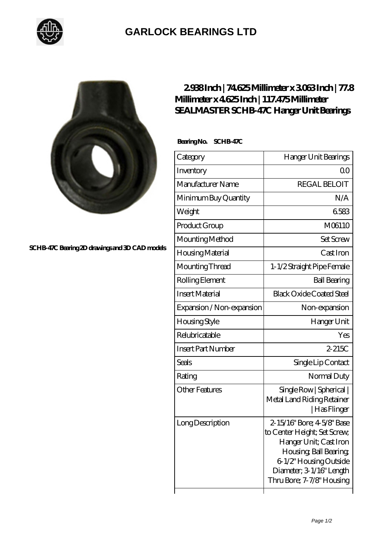

## **[GARLOCK BEARINGS LTD](https://m.letterstopriests.com)**



**[SCHB-47C Bearing 2D drawings and 3D CAD models](https://m.letterstopriests.com/pic-189015.html)**

## **[2.938 Inch | 74.625 Millimeter x 3.063 Inch | 77.8](https://m.letterstopriests.com/bj-189015-sealmaster-schb-47c-hanger-unit-bearings.html) [Millimeter x 4.625 Inch | 117.475 Millimeter](https://m.letterstopriests.com/bj-189015-sealmaster-schb-47c-hanger-unit-bearings.html) [SEALMASTER SCHB-47C Hanger Unit Bearings](https://m.letterstopriests.com/bj-189015-sealmaster-schb-47c-hanger-unit-bearings.html)**

 **Bearing No. SCHB-47C**

| Category                  | Hanger Unit Bearings                                                                                                                                                                              |
|---------------------------|---------------------------------------------------------------------------------------------------------------------------------------------------------------------------------------------------|
| Inventory                 | Q0                                                                                                                                                                                                |
| Manufacturer Name         | <b>REGAL BELOIT</b>                                                                                                                                                                               |
| Minimum Buy Quantity      | N/A                                                                                                                                                                                               |
| Weight                    | 6583                                                                                                                                                                                              |
| Product Group             | M06110                                                                                                                                                                                            |
| Mounting Method           | <b>Set Screw</b>                                                                                                                                                                                  |
| Housing Material          | Cast Iron                                                                                                                                                                                         |
| Mounting Thread           | 1-1/2 Straight Pipe Female                                                                                                                                                                        |
| Rolling Element           | <b>Ball Bearing</b>                                                                                                                                                                               |
| <b>Insert Material</b>    | <b>Black Oxide Coated Steel</b>                                                                                                                                                                   |
| Expansion / Non-expansion | Non-expansion                                                                                                                                                                                     |
| Housing Style             | Hanger Unit                                                                                                                                                                                       |
| Relubricatable            | Yes                                                                                                                                                                                               |
| <b>Insert Part Number</b> | $2-215C$                                                                                                                                                                                          |
| <b>Seals</b>              | Single Lip Contact                                                                                                                                                                                |
| Rating                    | Normal Duty                                                                                                                                                                                       |
| <b>Other Features</b>     | Single Row   Spherical  <br>Metal Land Riding Retainer<br>  Has Flinger                                                                                                                           |
| Long Description          | 2-15/16" Bore; 4-5/8" Base<br>to Center Height; Set Screw,<br>Hanger Unit; Cast Iron<br>Housing, Ball Bearing,<br>6-1/2" Housing Outside<br>Diameter; 3 1/16" Length<br>Thru Bore; 7-7/8" Housing |